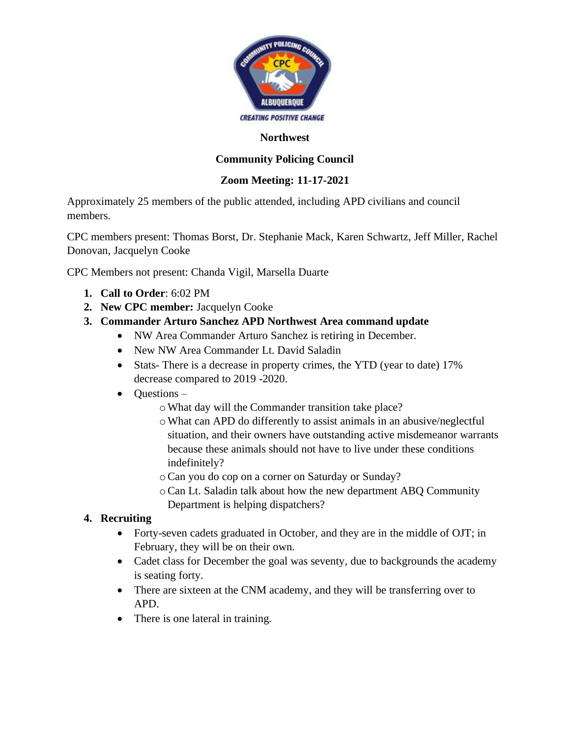

#### **Northwest**

# **Community Policing Council**

### **Zoom Meeting: 11-17-2021**

Approximately 25 members of the public attended, including APD civilians and council members.

CPC members present: Thomas Borst, Dr. Stephanie Mack, Karen Schwartz, Jeff Miller, Rachel Donovan, Jacquelyn Cooke

CPC Members not present: Chanda Vigil, Marsella Duarte

- **1. Call to Order**: 6:02 PM
- **2. New CPC member:** Jacquelyn Cooke
- **3. Commander Arturo Sanchez APD Northwest Area command update**
	- NW Area Commander Arturo Sanchez is retiring in December.
		- New NW Area Commander Lt. David Saladin
		- Stats- There is a decrease in property crimes, the YTD (year to date) 17% decrease compared to 2019 -2020.
		- Questions
			- oWhat day will the Commander transition take place?
			- oWhat can APD do differently to assist animals in an abusive/neglectful situation, and their owners have outstanding active misdemeanor warrants because these animals should not have to live under these conditions indefinitely?
			- oCan you do cop on a corner on Saturday or Sunday?
			- oCan Lt. Saladin talk about how the new department ABQ Community Department is helping dispatchers?

### **4. Recruiting**

- Forty-seven cadets graduated in October, and they are in the middle of OJT; in February, they will be on their own.
- Cadet class for December the goal was seventy, due to backgrounds the academy is seating forty.
- There are sixteen at the CNM academy, and they will be transferring over to APD.
- There is one lateral in training.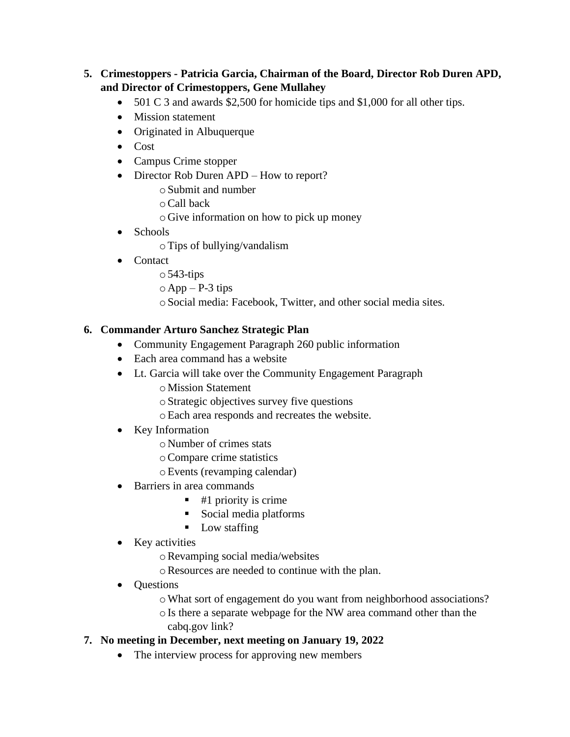# **5. Crimestoppers - Patricia Garcia, Chairman of the Board, Director Rob Duren APD, and Director of Crimestoppers, Gene Mullahey**

- 501 C 3 and awards \$2,500 for homicide tips and \$1,000 for all other tips.
- Mission statement
- Originated in Albuquerque
- Cost
- Campus Crime stopper
- Director Rob Duren APD How to report?
	- oSubmit and number
	- oCall back
	- oGive information on how to pick up money
- Schools
	- oTips of bullying/vandalism
- Contact
	- $\circ$  543-tips
	- $\circ$  App P-3 tips
	- oSocial media: Facebook, Twitter, and other social media sites.

### **6. Commander Arturo Sanchez Strategic Plan**

- Community Engagement Paragraph 260 public information
- Each area command has a website
- Lt. Garcia will take over the Community Engagement Paragraph
	- oMission Statement
	- oStrategic objectives survey five questions
	- oEach area responds and recreates the website.
- Key Information
	- oNumber of crimes stats
	- oCompare crime statistics
	- oEvents (revamping calendar)
- Barriers in area commands
	- $\blacksquare$  #1 priority is crime
	- Social media platforms
	- Low staffing
- Key activities
	- oRevamping social media/websites
	- oResources are needed to continue with the plan.
- Questions
	- oWhat sort of engagement do you want from neighborhood associations?
	- oIs there a separate webpage for the NW area command other than the cabq.gov link?

### **7. No meeting in December, next meeting on January 19, 2022**

• The interview process for approving new members